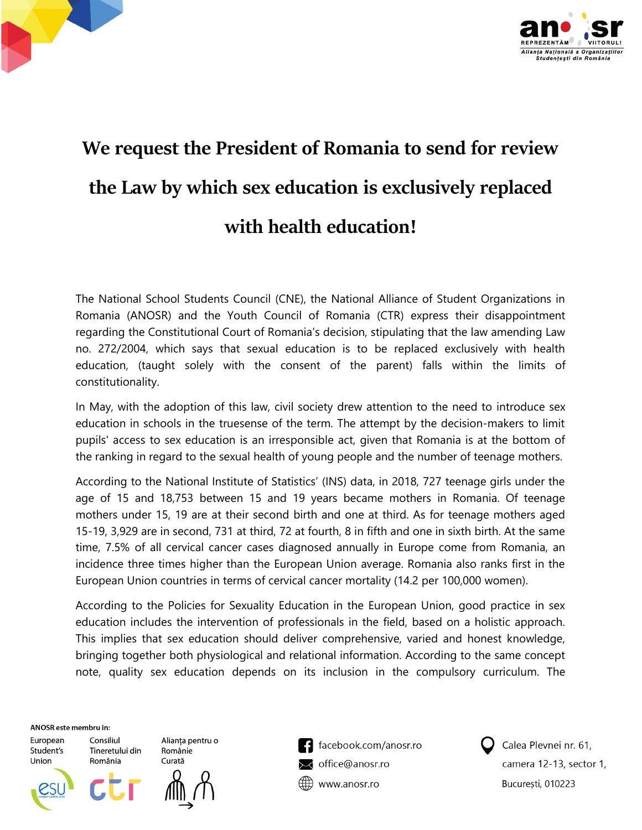



## **We request the President of Romania to send for review the Law by which sex education is exclusively replaced with health education!**

The National School Students Council (CNE), the National Alliance of Student Organizations in Romania (ANOSR) and the Youth Council of Romania (CTR) express their disappointment regarding the Constitutional Court of Romania's decision, stipulating that the law amending Law no. 272/2004, which says that sexual education is to be replaced exclusively with health education, (taught solely with the consent of the parent) falls within the limits of constitutionality.

In May, with the adoption of this law, civil society drew attention to the need to introduce sex education in schools in the truesense of the term. The attempt by the decision-makers to limit pupils' access to sex education is an irresponsible act, given that Romania is at the bottom of the ranking in regard to the sexual health of young people and the number of teenage mothers.

According to the National Institute of Statistics' (INS) data, in 2018, 727 teenage girls under the age of 15 and 18,753 between 15 and 19 years became mothers in Romania. Of teenage mothers under 15, 19 are at their second birth and one at third. As for teenage mothers aged 15-19, 3,929 are in second, 731 at third, 72 at fourth, 8 in fifth and one in sixth birth. At the same time, 7.5% of all cervical cancer cases diagnosed annually in Europe come from Romania, an incidence three times higher than the European Union average. Romania also ranks first in the European Union countries in terms of cervical cancer mortality (14.2 per 100,000 women).

According to the Policies for Sexuality Education in the European Union, good practice in sex education includes the intervention of professionals in the field, based on a holistic approach. This implies that sex education should deliver comprehensive, varied and honest knowledge, bringing together both physiological and relational information. According to the same concept note, quality sex education depends on its inclusion in the compulsory curriculum. The

ANOSR este membru în:

Consiliul

România

European Student's Union

Alianța pentru o Tineretului din Românie Curată



facebook.com/anosr.ro office@anosr.ro www.anosr.ro



Calea Plevnei nr. 61, camera 12-13, sector 1, București, 010223